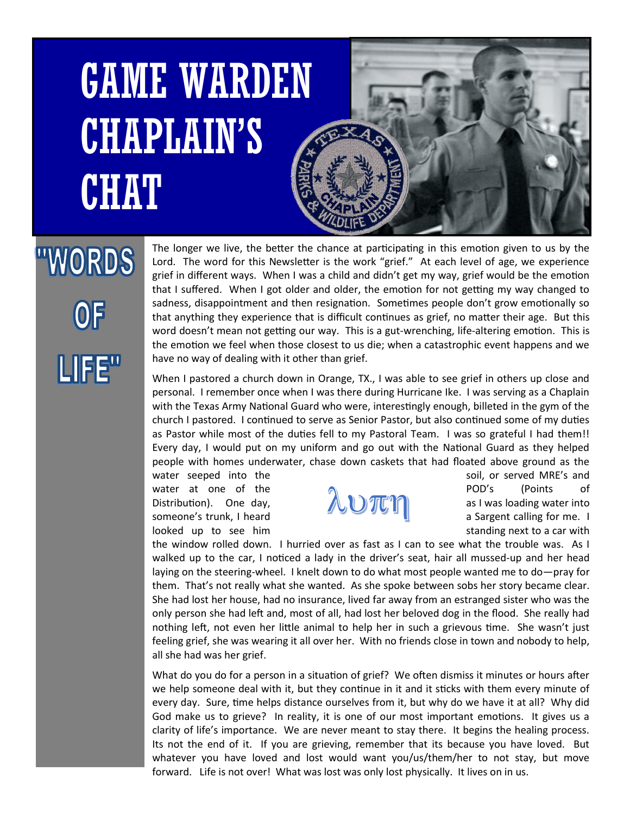## GAME WARDEN CHAPLAIN'S **CHAT**



## "WORDS **OF** LIFE"

The longer we live, the better the chance at participating in this emotion given to us by the Lord. The word for this Newsletter is the work "grief." At each level of age, we experience grief in different ways. When I was a child and didn't get my way, grief would be the emotion that I suffered. When I got older and older, the emotion for not getting my way changed to sadness, disappointment and then resignation. Sometimes people don't grow emotionally so that anything they experience that is difficult continues as grief, no matter their age. But this word doesn't mean not getting our way. This is a gut-wrenching, life-altering emotion. This is the emotion we feel when those closest to us die; when a catastrophic event happens and we have no way of dealing with it other than grief.

When I pastored a church down in Orange, TX., I was able to see grief in others up close and personal. I remember once when I was there during Hurricane Ike. I was serving as a Chaplain with the Texas Army National Guard who were, interestingly enough, billeted in the gym of the church I pastored. I continued to serve as Senior Pastor, but also continued some of my duties as Pastor while most of the duties fell to my Pastoral Team. I was so grateful I had them!! Every day, I would put on my uniform and go out with the National Guard as they helped people with homes underwater, chase down caskets that had floated above ground as the water seeped into the solid example and soil, or served MRE's and



water at one of the  $\sum_{\text{Distribution}}$  POD's (Points of Distribution). One day,  $\sum_{\text{Distribution}}$  as I was loading water into Distribution). One day,  $\mathbb{R}$   $\mathbb{R}$   $\mathbb{R}$  as I was loading water into someone's trunk, I heard **a Sargent calling for me.** I looked up to see him standing next to a car with

the window rolled down. I hurried over as fast as I can to see what the trouble was. As I walked up to the car, I noticed a lady in the driver's seat, hair all mussed-up and her head laying on the steering-wheel. I knelt down to do what most people wanted me to do—pray for them. That's not really what she wanted. As she spoke between sobs her story became clear. She had lost her house, had no insurance, lived far away from an estranged sister who was the only person she had left and, most of all, had lost her beloved dog in the flood. She really had nothing left, not even her little animal to help her in such a grievous time. She wasn't just feeling grief, she was wearing it all over her. With no friends close in town and nobody to help, all she had was her grief.

What do you do for a person in a situation of grief? We often dismiss it minutes or hours after we help someone deal with it, but they continue in it and it sticks with them every minute of every day. Sure, time helps distance ourselves from it, but why do we have it at all? Why did God make us to grieve? In reality, it is one of our most important emotions. It gives us a clarity of life's importance. We are never meant to stay there. It begins the healing process. Its not the end of it. If you are grieving, remember that its because you have loved. But whatever you have loved and lost would want you/us/them/her to not stay, but move forward. Life is not over! What was lost was only lost physically. It lives on in us.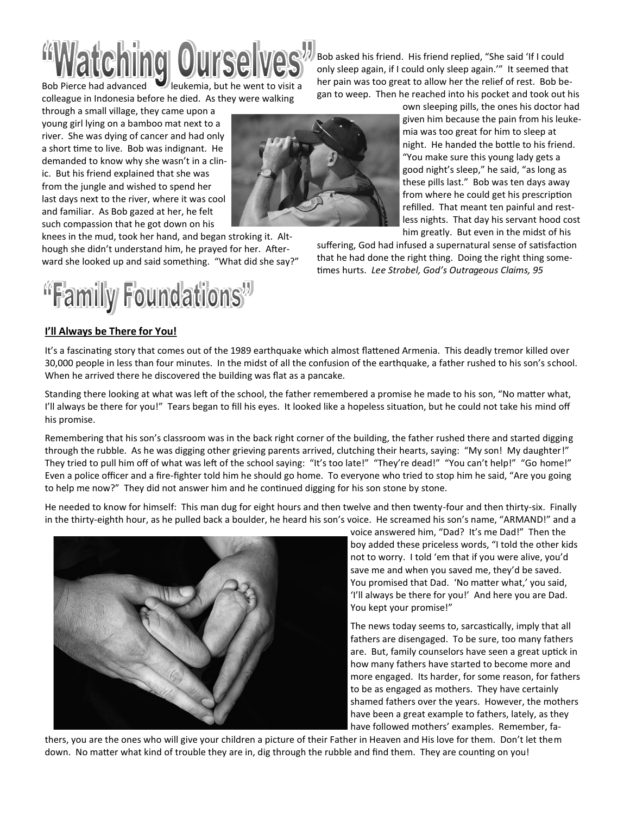

Bob Pierce had advanced **V** leukemia, but he went to visit a colleague in Indonesia before he died. As they were walking

through a small village, they came upon a young girl lying on a bamboo mat next to a river. She was dying of cancer and had only a short time to live. Bob was indignant. He demanded to know why she wasn't in a clinic. But his friend explained that she was from the jungle and wished to spend her last days next to the river, where it was cool and familiar. As Bob gazed at her, he felt such compassion that he got down on his

knees in the mud, took her hand, and began stroking it. Although she didn't understand him, he prayed for her. Afterward she looked up and said something. "What did she say?"



## **I'll Always be There for You!**

Bob asked his friend. His friend replied, "She said 'If I could only sleep again, if I could only sleep again.'" It seemed that her pain was too great to allow her the relief of rest. Bob began to weep. Then he reached into his pocket and took out his

> own sleeping pills, the ones his doctor had given him because the pain from his leukemia was too great for him to sleep at night. He handed the bottle to his friend. "You make sure this young lady gets a good night's sleep," he said, "as long as these pills last." Bob was ten days away from where he could get his prescription refilled. That meant ten painful and restless nights. That day his servant hood cost him greatly. But even in the midst of his

suffering, God had infused a supernatural sense of satisfaction that he had done the right thing. Doing the right thing sometimes hurts. *Lee Strobel, God's Outrageous Claims, 95*

It's a fascinating story that comes out of the 1989 earthquake which almost flattened Armenia. This deadly tremor killed over 30,000 people in less than four minutes. In the midst of all the confusion of the earthquake, a father rushed to his son's school. When he arrived there he discovered the building was flat as a pancake.

Standing there looking at what was left of the school, the father remembered a promise he made to his son, "No matter what, I'll always be there for you!" Tears began to fill his eyes. It looked like a hopeless situation, but he could not take his mind off his promise.

Remembering that his son's classroom was in the back right corner of the building, the father rushed there and started digging through the rubble. As he was digging other grieving parents arrived, clutching their hearts, saying: "My son! My daughter!" They tried to pull him off of what was left of the school saying: "It's too late!" "They're dead!" "You can't help!" "Go home!" Even a police officer and a fire-fighter told him he should go home. To everyone who tried to stop him he said, "Are you going to help me now?" They did not answer him and he continued digging for his son stone by stone.

He needed to know for himself: This man dug for eight hours and then twelve and then twenty-four and then thirty-six. Finally in the thirty-eighth hour, as he pulled back a boulder, he heard his son's voice. He screamed his son's name, "ARMAND!" and a



voice answered him, "Dad? It's me Dad!" Then the boy added these priceless words, "I told the other kids not to worry. I told 'em that if you were alive, you'd save me and when you saved me, they'd be saved. You promised that Dad. 'No matter what,' you said, 'I'll always be there for you!' And here you are Dad. You kept your promise!"

The news today seems to, sarcastically, imply that all fathers are disengaged. To be sure, too many fathers are. But, family counselors have seen a great uptick in how many fathers have started to become more and more engaged. Its harder, for some reason, for fathers to be as engaged as mothers. They have certainly shamed fathers over the years. However, the mothers have been a great example to fathers, lately, as they have followed mothers' examples. Remember, fa-

thers, you are the ones who will give your children a picture of their Father in Heaven and His love for them. Don't let them down. No matter what kind of trouble they are in, dig through the rubble and find them. They are counting on you!